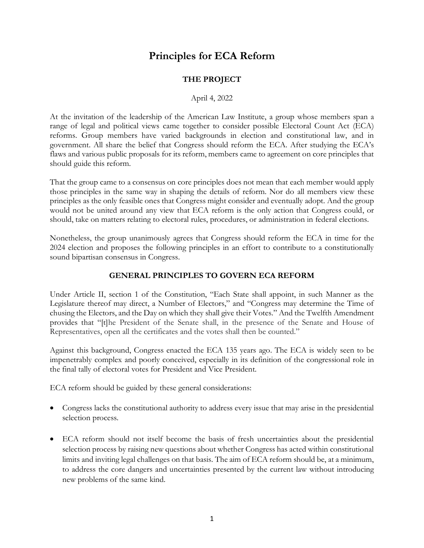# **Principles for ECA Reform**

# **THE PROJECT**

#### April 4, 2022

At the invitation of the leadership of the American Law Institute, a group whose members span a range of legal and political views came together to consider possible Electoral Count Act (ECA) reforms. Group members have varied backgrounds in election and constitutional law, and in government. All share the belief that Congress should reform the ECA. After studying the ECA's flaws and various public proposals for its reform, members came to agreement on core principles that should guide this reform.

That the group came to a consensus on core principles does not mean that each member would apply those principles in the same way in shaping the details of reform. Nor do all members view these principles as the only feasible ones that Congress might consider and eventually adopt. And the group would not be united around any view that ECA reform is the only action that Congress could, or should, take on matters relating to electoral rules, procedures, or administration in federal elections.

Nonetheless, the group unanimously agrees that Congress should reform the ECA in time for the 2024 election and proposes the following principles in an effort to contribute to a constitutionally sound bipartisan consensus in Congress.

#### **GENERAL PRINCIPLES TO GOVERN ECA REFORM**

Under Article II, section 1 of the Constitution, "Each State shall appoint, in such Manner as the Legislature thereof may direct, a Number of Electors," and "Congress may determine the Time of chusing the Electors, and the Day on which they shall give their Votes." And the Twelfth Amendment provides that "[t]he President of the Senate shall, in the presence of the Senate and House of Representatives, open all the certificates and the votes shall then be counted."

Against this background, Congress enacted the ECA 135 years ago. The ECA is widely seen to be impenetrably complex and poorly conceived, especially in its definition of the congressional role in the final tally of electoral votes for President and Vice President.

ECA reform should be guided by these general considerations:

- Congress lacks the constitutional authority to address every issue that may arise in the presidential selection process.
- ECA reform should not itself become the basis of fresh uncertainties about the presidential selection process by raising new questions about whether Congress has acted within constitutional limits and inviting legal challenges on that basis. The aim of ECA reform should be, at a minimum, to address the core dangers and uncertainties presented by the current law without introducing new problems of the same kind.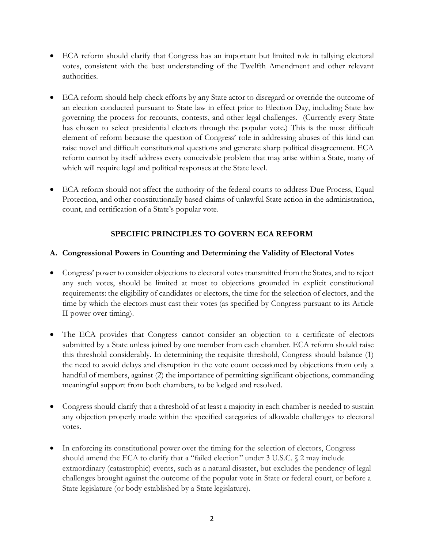- ECA reform should clarify that Congress has an important but limited role in tallying electoral votes, consistent with the best understanding of the Twelfth Amendment and other relevant authorities.
- ECA reform should help check efforts by any State actor to disregard or override the outcome of an election conducted pursuant to State law in effect prior to Election Day, including State law governing the process for recounts, contests, and other legal challenges. (Currently every State has chosen to select presidential electors through the popular vote.) This is the most difficult element of reform because the question of Congress' role in addressing abuses of this kind can raise novel and difficult constitutional questions and generate sharp political disagreement. ECA reform cannot by itself address every conceivable problem that may arise within a State, many of which will require legal and political responses at the State level.
- ECA reform should not affect the authority of the federal courts to address Due Process, Equal Protection, and other constitutionally based claims of unlawful State action in the administration, count, and certification of a State's popular vote.

# **SPECIFIC PRINCIPLES TO GOVERN ECA REFORM**

## **A. Congressional Powers in Counting and Determining the Validity of Electoral Votes**

- Congress' power to consider objections to electoral votes transmitted from the States, and to reject any such votes, should be limited at most to objections grounded in explicit constitutional requirements: the eligibility of candidates or electors, the time for the selection of electors, and the time by which the electors must cast their votes (as specified by Congress pursuant to its Article II power over timing).
- The ECA provides that Congress cannot consider an objection to a certificate of electors submitted by a State unless joined by one member from each chamber. ECA reform should raise this threshold considerably. In determining the requisite threshold, Congress should balance (1) the need to avoid delays and disruption in the vote count occasioned by objections from only a handful of members, against (2) the importance of permitting significant objections, commanding meaningful support from both chambers, to be lodged and resolved.
- Congress should clarify that a threshold of at least a majority in each chamber is needed to sustain any objection properly made within the specified categories of allowable challenges to electoral votes.
- In enforcing its constitutional power over the timing for the selection of electors, Congress should amend the ECA to clarify that a "failed election" under  $3 \text{ U.S.C. } \text{\textless} 2 \text{ may include}$ extraordinary (catastrophic) events, such as a natural disaster, but excludes the pendency of legal challenges brought against the outcome of the popular vote in State or federal court, or before a State legislature (or body established by a State legislature).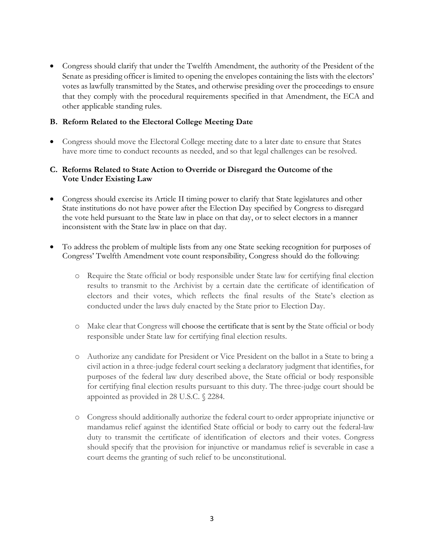• Congress should clarify that under the Twelfth Amendment, the authority of the President of the Senate as presiding officer is limited to opening the envelopes containing the lists with the electors' votes as lawfully transmitted by the States, and otherwise presiding over the proceedings to ensure that they comply with the procedural requirements specified in that Amendment, the ECA and other applicable standing rules.

## **B. Reform Related to the Electoral College Meeting Date**

• Congress should move the Electoral College meeting date to a later date to ensure that States have more time to conduct recounts as needed, and so that legal challenges can be resolved.

## **C. Reforms Related to State Action to Override or Disregard the Outcome of the Vote Under Existing Law**

- Congress should exercise its Article II timing power to clarify that State legislatures and other State institutions do not have power after the Election Day specified by Congress to disregard the vote held pursuant to the State law in place on that day, or to select electors in a manner inconsistent with the State law in place on that day.
- To address the problem of multiple lists from any one State seeking recognition for purposes of Congress' Twelfth Amendment vote count responsibility, Congress should do the following:
	- o Require the State official or body responsible under State law for certifying final election results to transmit to the Archivist by a certain date the certificate of identification of electors and their votes, which reflects the final results of the State's election as conducted under the laws duly enacted by the State prior to Election Day.
	- o Make clear that Congress will choose the certificate that is sent by the State official or body responsible under State law for certifying final election results.
	- o Authorize any candidate for President or Vice President on the ballot in a State to bring a civil action in a three-judge federal court seeking a declaratory judgment that identifies, for purposes of the federal law duty described above, the State official or body responsible for certifying final election results pursuant to this duty. The three-judge court should be appointed as provided in 28 U.S.C. § 2284.
	- o Congress should additionally authorize the federal court to order appropriate injunctive or mandamus relief against the identified State official or body to carry out the federal-law duty to transmit the certificate of identification of electors and their votes. Congress should specify that the provision for injunctive or mandamus relief is severable in case a court deems the granting of such relief to be unconstitutional.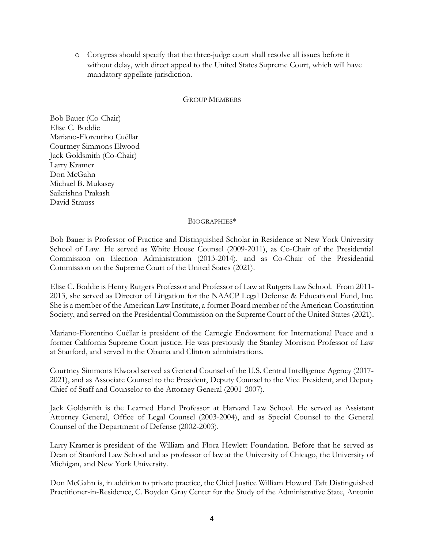o Congress should specify that the three-judge court shall resolve all issues before it without delay, with direct appeal to the United States Supreme Court, which will have mandatory appellate jurisdiction.

#### GROUP MEMBERS

Bob Bauer (Co-Chair) Elise C. Boddie Mariano-Florentino Cuéllar Courtney Simmons Elwood Jack Goldsmith (Co-Chair) Larry Kramer Don McGahn Michael B. Mukasey Saikrishna Prakash David Strauss

#### BIOGRAPHIES\*

Bob Bauer is Professor of Practice and Distinguished Scholar in Residence at New York University School of Law. He served as White House Counsel (2009-2011), as Co-Chair of the Presidential Commission on Election Administration (2013-2014), and as Co-Chair of the Presidential Commission on the Supreme Court of the United States (2021).

Elise C. Boddie is Henry Rutgers Professor and Professor of Law at Rutgers Law School. From 2011- 2013, she served as Director of Litigation for the NAACP Legal Defense & Educational Fund, Inc. She is a member of the American Law Institute, a former Board member of the American Constitution Society, and served on the Presidential Commission on the Supreme Court of the United States (2021).

Mariano-Florentino Cuéllar is president of the Carnegie Endowment for International Peace and a former California Supreme Court justice. He was previously the Stanley Morrison Professor of Law at Stanford, and served in the Obama and Clinton administrations.

Courtney Simmons Elwood served as General Counsel of the U.S. Central Intelligence Agency (2017- 2021), and as Associate Counsel to the President, Deputy Counsel to the Vice President, and Deputy Chief of Staff and Counselor to the Attorney General (2001-2007).

Jack Goldsmith is the Learned Hand Professor at Harvard Law School. He served as Assistant Attorney General, Office of Legal Counsel (2003-2004), and as Special Counsel to the General Counsel of the Department of Defense (2002-2003).

Larry Kramer is president of the William and Flora Hewlett Foundation. Before that he served as Dean of Stanford Law School and as professor of law at the University of Chicago, the University of Michigan, and New York University.

Don McGahn is, in addition to private practice, the Chief Justice William Howard Taft Distinguished Practitioner-in-Residence, C. Boyden Gray Center for the Study of the Administrative State, Antonin